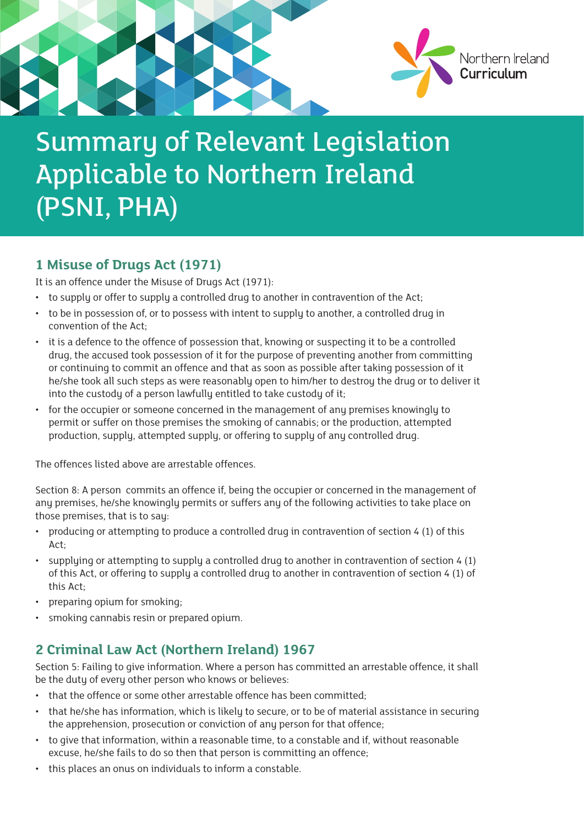

# Summary of Relevant Legislation Applicable to Northern Ireland (PSNI, PHA)

### **1 Misuse of Drugs Act (1971)**

It is an offence under the Misuse of Drugs Act (1971):

- to supply or offer to supply a controlled drug to another in contravention of the Act;
- to be in possession of, or to possess with intent to supply to another, a controlled drug in convention of the Act;
- it is a defence to the offence of possession that, knowing or suspecting it to be a controlled drug, the accused took possession of it for the purpose of preventing another from committing or continuing to commit an offence and that as soon as possible after taking possession of it he/she took all such steps as were reasonably open to him/her to destroy the drug or to deliver it into the custody of a person lawfully entitled to take custody of it;
- for the occupier or someone concerned in the management of any premises knowingly to permit or suffer on those premises the smoking of cannabis; or the production, attempted production, supply, attempted supply, or offering to supply of any controlled drug.

The offences listed above are arrestable offences.

Section 8: A person commits an offence if, being the occupier or concerned in the management of any premises, he/she knowingly permits or suffers any of the following activities to take place on those premises, that is to say:

- producing or attempting to produce a controlled drug in contravention of section 4 (1) of this Act;
- supplying or attempting to supply a controlled drug to another in contravention of section 4 (1) of this Act, or offering to supply a controlled drug to another in contravention of section 4 (1) of this Act;
- preparing opium for smoking;
- smoking cannabis resin or prepared opium.

## **2 Criminal Law Act (Northern Ireland) 1967**

Section 5: Failing to give information. Where a person has committed an arrestable offence, it shall be the duty of every other person who knows or believes:

- that the offence or some other arrestable offence has been committed;
- that he/she has information, which is likely to secure, or to be of material assistance in securing the apprehension, prosecution or conviction of any person for that offence;
- to give that information, within a reasonable time, to a constable and if, without reasonable excuse, he/she fails to do so then that person is committing an offence;
- this places an onus on individuals to inform a constable.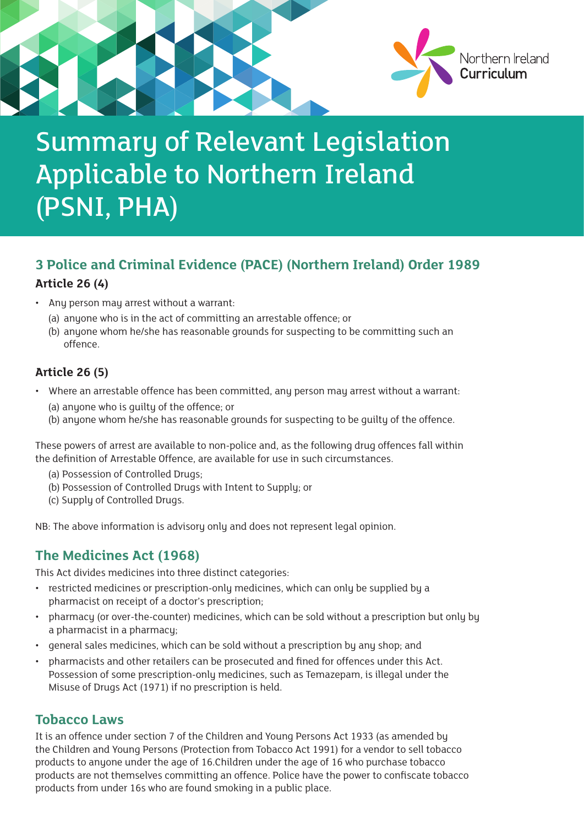

# Summary of Relevant Legislation Applicable to Northern Ireland (PSNI, PHA)

## **3 Police and Criminal Evidence (PACE) (Northern Ireland) Order 1989 Article 26 (4)**

- Any person may arrest without a warrant:
	- (a) anyone who is in the act of committing an arrestable offence; or
	- (b) anyone whom he/she has reasonable grounds for suspecting to be committing such an offence.

#### **Article 26 (5)**

- Where an arrestable offence has been committed, any person may arrest without a warrant:
	- (a) anyone who is guilty of the offence; or
	- (b) anyone whom he/she has reasonable grounds for suspecting to be guilty of the offence.

These powers of arrest are available to non-police and, as the following drug offences fall within the definition of Arrestable Offence, are available for use in such circumstances.

- (a) Possession of Controlled Drugs;
- (b) Possession of Controlled Drugs with Intent to Supply; or
- (c) Supply of Controlled Drugs.

NB: The above information is advisory only and does not represent legal opinion.

### **The Medicines Act (1968)**

This Act divides medicines into three distinct categories:

- restricted medicines or prescription-only medicines, which can only be supplied by a pharmacist on receipt of a doctor's prescription;
- pharmacy (or over-the-counter) medicines, which can be sold without a prescription but only by a pharmacist in a pharmacy;
- general sales medicines, which can be sold without a prescription by any shop; and
- pharmacists and other retailers can be prosecuted and fined for offences under this Act. Possession of some prescription-only medicines, such as Temazepam, is illegal under the Misuse of Drugs Act (1971) if no prescription is held.

#### **Tobacco Laws**

It is an offence under section 7 of the Children and Young Persons Act 1933 (as amended by the Children and Young Persons (Protection from Tobacco Act 1991) for a vendor to sell tobacco products to anyone under the age of 16.Children under the age of 16 who purchase tobacco products are not themselves committing an offence. Police have the power to confiscate tobacco products from under 16s who are found smoking in a public place.